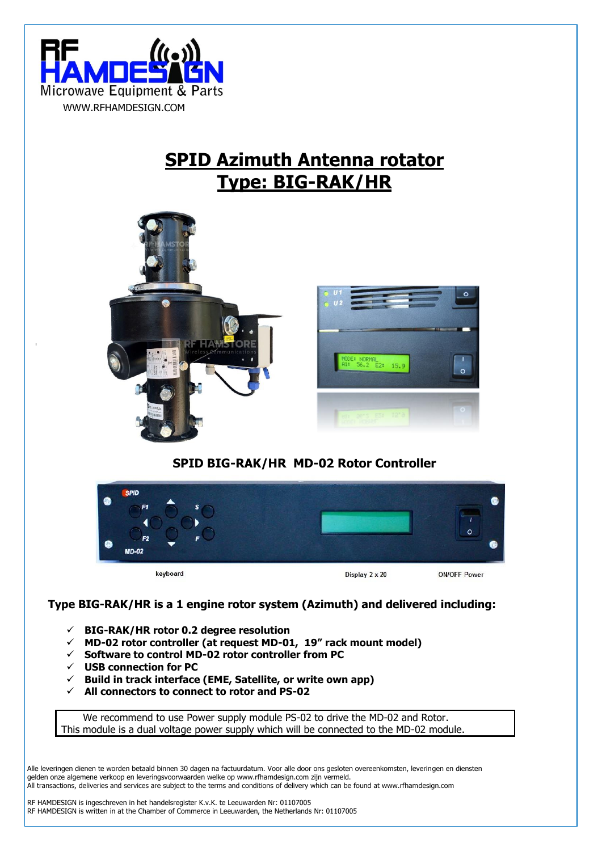

# **SPID Azimuth Antenna rotator Type: BIG-RAK/HR**



## **SPID BIG-RAK/HR MD-02 Rotor Controller**



### **Type BIG-RAK/HR is a 1 engine rotor system (Azimuth) and delivered including:**

- ✓ **BIG-RAK/HR rotor 0.2 degree resolution**
- ✓ **MD-02 rotor controller (at request MD-01, 19" rack mount model)**
- ✓ **Software to control MD-02 rotor controller from PC**
- ✓ **USB connection for PC**
- ✓ **Build in track interface (EME, Satellite, or write own app)**
- ✓ **All connectors to connect to rotor and PS-02**

We recommend to use Power supply module PS-02 to drive the MD-02 and Rotor. This module is a dual voltage power supply which will be connected to the MD-02 module.

Alle leveringen dienen te worden betaald binnen 30 dagen na factuurdatum. Voor alle door ons gesloten overeenkomsten, leveringen en diensten gelden onze algemene verkoop en leveringsvoorwaarden welke op www.rfhamdesign.com zijn vermeld. All transactions, deliveries and services are subject to the terms and conditions of delivery which can be found at www.rfhamdesign.com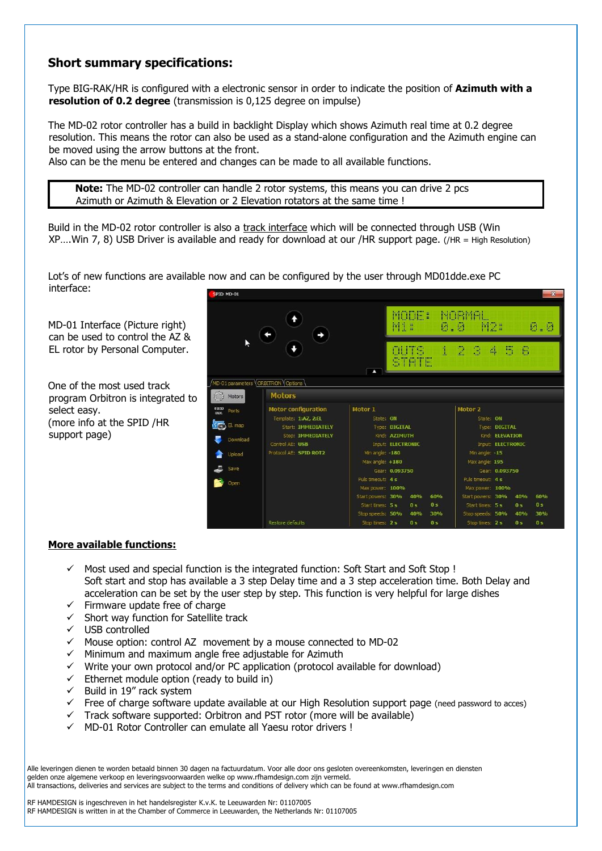## **Short summary specifications:**

Type BIG-RAK/HR is configured with a electronic sensor in order to indicate the position of **Azimuth with a resolution of 0.2 degree** (transmission is 0,125 degree on impulse)

The MD-02 rotor controller has a build in backlight Display which shows Azimuth real time at 0.2 degree resolution. This means the rotor can also be used as a stand-alone configuration and the Azimuth engine can be moved using the arrow buttons at the front.

Also can be the menu be entered and changes can be made to all available functions.

**Note:** The MD-02 controller can handle 2 rotor systems, this means you can drive 2 pcs Azimuth or Azimuth & Elevation or 2 Elevation rotators at the same time !

Build in the MD-02 rotor controller is also a track interface which will be connected through USB (Win XP….Win 7, 8) USB Driver is available and ready for download at our /HR support page. (/HR = High Resolution)

Lot's of new functions are available now and can be configured by the user through MD01dde.exe PC interface: PID MD-01

MD-01 Interface (Picture right) can be used to control the AZ & EL rotor by Personal Computer.

One of the most used track program Orbitron is integrated to select easy. (more info at the SPID /HR support page)



#### **More available functions:**

- $\checkmark$  Most used and special function is the integrated function: Soft Start and Soft Stop ! Soft start and stop has available a 3 step Delay time and a 3 step acceleration time. Both Delay and acceleration can be set by the user step by step. This function is very helpful for large dishes
- ✓ Firmware update free of charge
- $\checkmark$  Short way function for Satellite track
- ✓ USB controlled
- $\checkmark$  Mouse option: control AZ movement by a mouse connected to MD-02
- $\checkmark$  Minimum and maximum angle free adjustable for Azimuth
- $\checkmark$  Write your own protocol and/or PC application (protocol available for download)
- $\checkmark$  Ethernet module option (ready to build in)
- $\checkmark$  Build in 19" rack system
- ✓ Free of charge software update available at our High Resolution support page (need password to acces)
- Track software supported: Orbitron and PST rotor (more will be available)
- ✓ MD-01 Rotor Controller can emulate all Yaesu rotor drivers !

Alle leveringen dienen te worden betaald binnen 30 dagen na factuurdatum. Voor alle door ons gesloten overeenkomsten, leveringen en diensten gelden onze algemene verkoop en leveringsvoorwaarden welke op www.rfhamdesign.com zijn vermeld. All transactions, deliveries and services are subject to the terms and conditions of delivery which can be found at www.rfhamdesign.com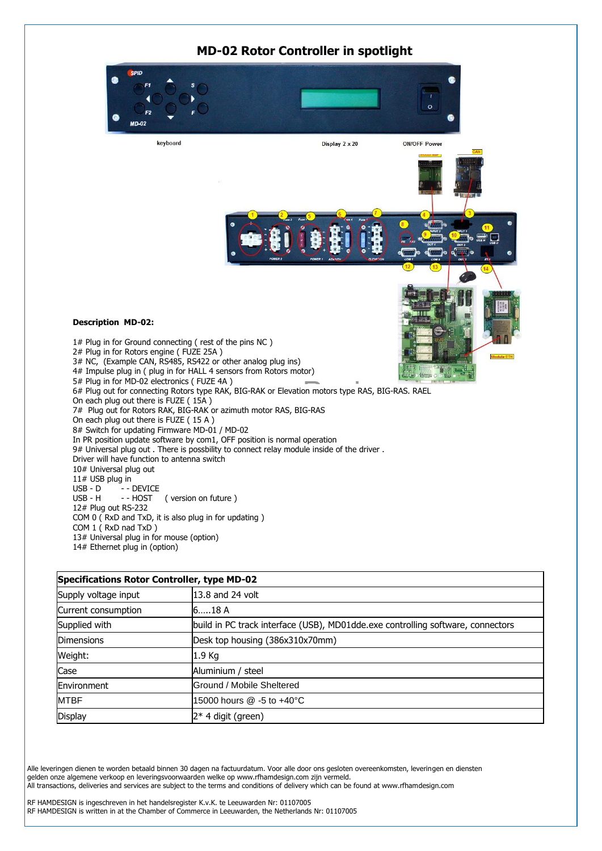### **MD-02 Rotor Controller in spotlight**



| Specifications Rotor Controller, type MD-02 |                                                                                 |  |  |
|---------------------------------------------|---------------------------------------------------------------------------------|--|--|
| Supply voltage input                        | 13.8 and 24 volt                                                                |  |  |
| Current consumption                         | 618A                                                                            |  |  |
| Supplied with                               | build in PC track interface (USB), MD01dde.exe controlling software, connectors |  |  |
| <b>Dimensions</b>                           | Desk top housing (386x310x70mm)                                                 |  |  |
| Weight:                                     | 1.9 Kg                                                                          |  |  |
| Case                                        | Aluminium / steel                                                               |  |  |
| Environment                                 | Ground / Mobile Sheltered                                                       |  |  |
| <b>MTBF</b>                                 | 15000 hours @ -5 to +40°C                                                       |  |  |
| Display                                     | 2* 4 digit (green)                                                              |  |  |

Alle leveringen dienen te worden betaald binnen 30 dagen na factuurdatum. Voor alle door ons gesloten overeenkomsten, leveringen en diensten gelden onze algemene verkoop en leveringsvoorwaarden welke op www.rfhamdesign.com zijn vermeld. All transactions, deliveries and services are subject to the terms and conditions of delivery which can be found at www.rfhamdesign.com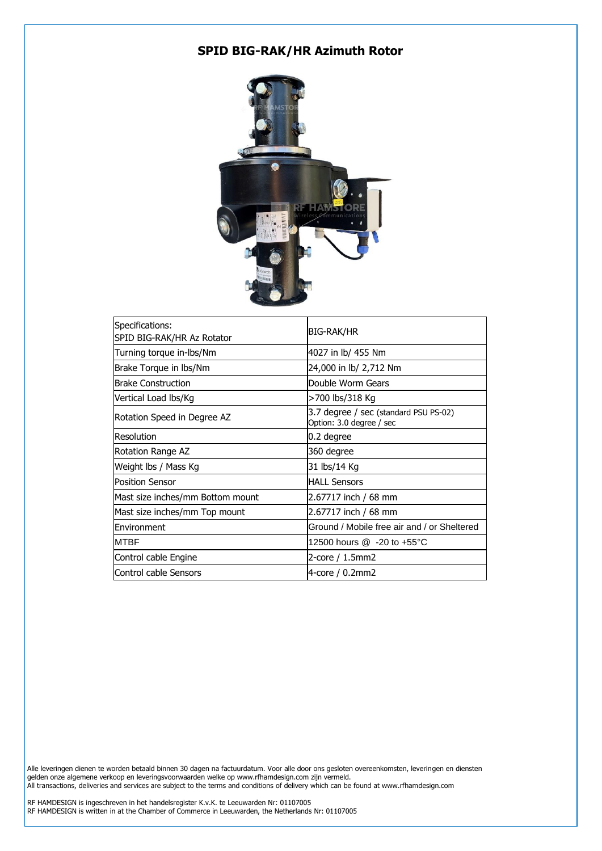# **SPID BIG-RAK/HR Azimuth Rotor**



| Specifications:<br>SPID BIG-RAK/HR Az Rotator | BIG-RAK/HR                                                        |
|-----------------------------------------------|-------------------------------------------------------------------|
| Turning torque in-lbs/Nm                      | 4027 in lb/ 455 Nm                                                |
| Brake Torque in lbs/Nm                        | 24,000 in lb/ 2,712 Nm                                            |
| Brake Construction                            | Double Worm Gears                                                 |
| Vertical Load Ibs/Kg                          | >700 lbs/318 Kg                                                   |
| Rotation Speed in Degree AZ                   | 3.7 degree / sec (standard PSU PS-02)<br>Option: 3.0 degree / sec |
| Resolution                                    | 0.2 degree                                                        |
| Rotation Range AZ                             | 360 degree                                                        |
| Weight lbs / Mass Kg                          | 31 lbs/14 Kg                                                      |
| <b>Position Sensor</b>                        | <b>HALL Sensors</b>                                               |
| Mast size inches/mm Bottom mount              | 2.67717 inch / 68 mm                                              |
| Mast size inches/mm Top mount                 | 2.67717 inch / 68 mm                                              |
| <b>IEnvironment</b>                           | Ground / Mobile free air and / or Sheltered                       |
| <b>MTBF</b>                                   | 12500 hours @ -20 to +55°C                                        |
| Control cable Engine                          | 2-core / 1.5mm2                                                   |
| Control cable Sensors                         | 4-core / 0.2mm2                                                   |

Alle leveringen dienen te worden betaald binnen 30 dagen na factuurdatum. Voor alle door ons gesloten overeenkomsten, leveringen en diensten gelden onze algemene verkoop en leveringsvoorwaarden welke op www.rfhamdesign.com zijn vermeld. All transactions, deliveries and services are subject to the terms and conditions of delivery which can be found at www.rfhamdesign.com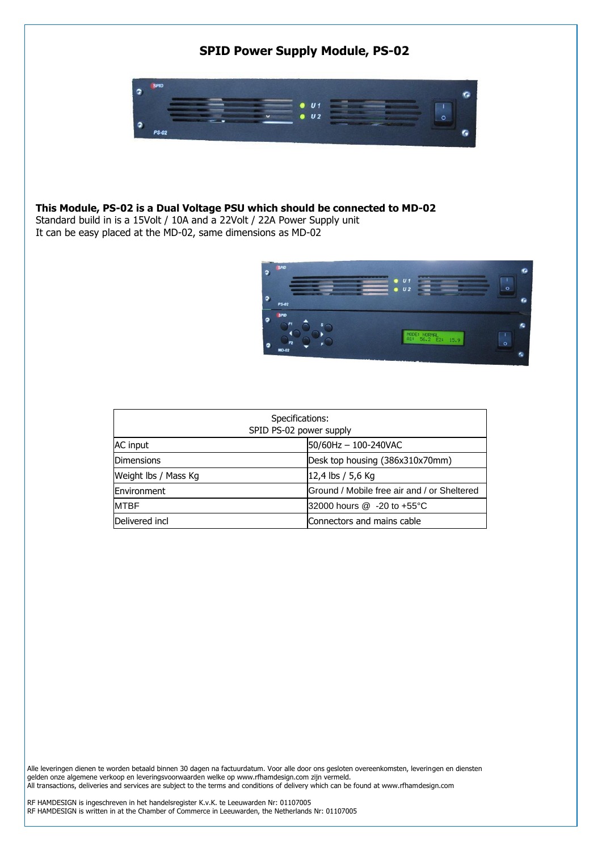# **SPID Power Supply Module, PS-02**



### **This Module, PS-02 is a Dual Voltage PSU which should be connected to MD-02**

Standard build in is a 15Volt / 10A and a 22Volt / 22A Power Supply unit It can be easy placed at the MD-02, same dimensions as MD-02



| Specifications:<br>SPID PS-02 power supply |                                             |  |  |
|--------------------------------------------|---------------------------------------------|--|--|
| AC input                                   | 50/60Hz - 100-240VAC                        |  |  |
| <b>Dimensions</b>                          | Desk top housing (386x310x70mm)             |  |  |
| Weight lbs / Mass Kg                       | $ 12,4$ lbs / 5,6 Kg                        |  |  |
| Environment                                | Ground / Mobile free air and / or Sheltered |  |  |
| <b>MTBF</b>                                | 32000 hours @ -20 to +55°C                  |  |  |
| Delivered incl                             | Connectors and mains cable                  |  |  |

Alle leveringen dienen te worden betaald binnen 30 dagen na factuurdatum. Voor alle door ons gesloten overeenkomsten, leveringen en diensten gelden onze algemene verkoop en leveringsvoorwaarden welke op www.rfhamdesign.com zijn vermeld. All transactions, deliveries and services are subject to the terms and conditions of delivery which can be found at www.rfhamdesign.com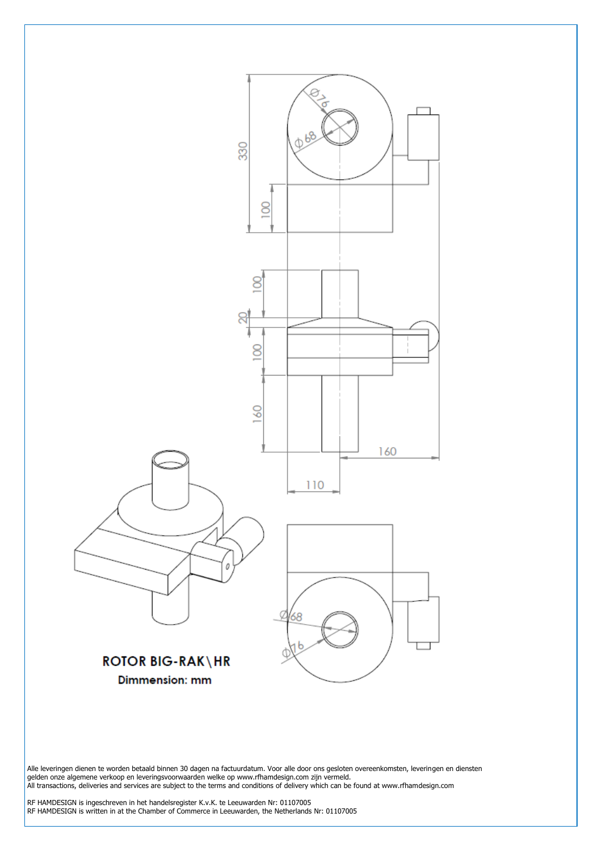

Alle leveringen dienen te worden betaald binnen 30 dagen na factuurdatum. Voor alle door ons gesloten overeenkomsten, leveringen en diensten gelden onze algemene verkoop en leveringsvoorwaarden welke op www.rfhamdesign.com zijn vermeld. All transactions, deliveries and services are subject to the terms and conditions of delivery which can be found at www.rfhamdesign.com